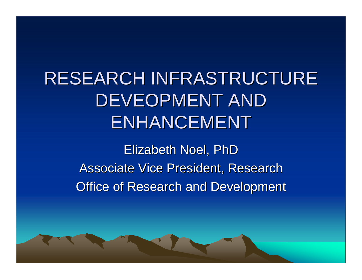#### RESEARCH INFRASTRUCTURE DEVEOPMENT AND ENHANCEMENT

**Elizabeth Noel, PhD** Associate Vice President, Research **Office of Research and Development**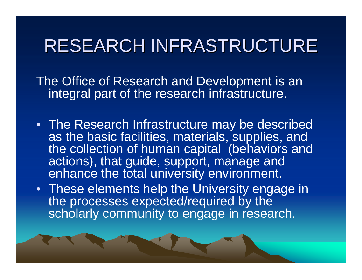The Office of Research and Development is an integral part of the research infrastructure.

- The Research Infrastructure may be described as the basic facilities, materials, supplies, and the collection of human capital (behaviors and actions), that guide, support, manage and enhance the total university environment.
- These elements help the University engage in the processes expected/required by the scholarly community to engage in research.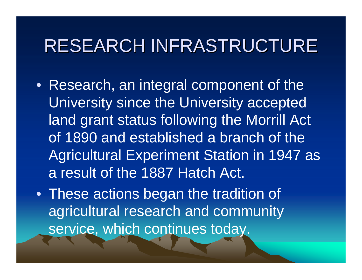• Research, an integral component of the University since the University accepted land grant status following the Morrill Act of 1890 and established a branch of the Agricultural Experiment Station in 1947 as a result of the 1887 Hatch Act.

• These actions began the tradition of agricultural research and community service, which continues today.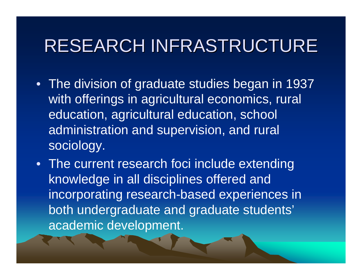- The division of graduate studies began in 1937 with offerings in agricultural economics, rural education, agricultural education, school administration and supervision, and rural sociology.
- The current research foci include extending knowledge in all disciplines offered and incorporating research-based experiences in both undergraduate and graduate students' academic development.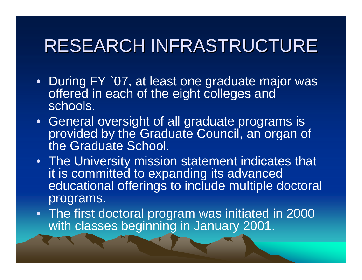- During FY `07, at least one graduate major was offered in each of the eight colleges and schools.
- General oversight of all graduate programs is provided by the Graduate Council, an organ of the Graduate School.
- The University mission statement indicates that it is committed to expanding its advanced educational offerings to include multiple doctoral programs.
- The first doctoral program was initiated in 2000 with classes beginning in January 2001.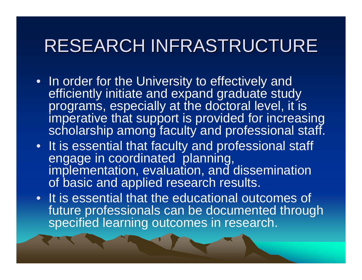- In order for the University to effectively and efficiently initiate and expand graduate study programs, especially at the doctoral level, it is imperative that support is provided for increasing scholarship among faculty and professional staff.
- It is essential that faculty and professional staff engage in coordinated planning, implementation, evaluation, and dissemination of basic and applied research results.
- It is essential that the educational outcomes of future professionals can be documented through specified learning outcomes in research.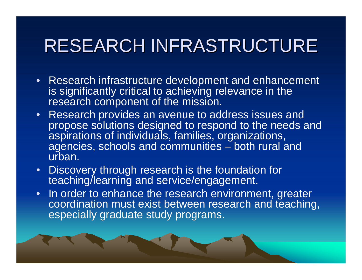- • Research infrastructure development and enhancement is significantly critical to achieving relevance in the research component of the mission.
- • Research provides an avenue to address issues and propose solutions designed to respond to the needs and aspirations of individuals, families, organizations, agencies, schools and communities – both rural and urban.
- $\bullet$  Discovery through research is the foundation for teaching/learning and service/engagement.
- $\bullet$  In order to enhance the research environment, greater coordination must exist between research and teaching, especially graduate study programs.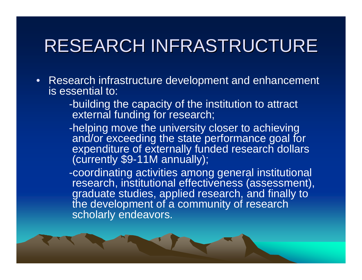- • Research infrastructure development and enhancement is essential to:
	- -building the capacity of the institution to attract external funding for research;
	- -helping move the university closer to achieving and/or exceeding the state performance goal for expenditure of externally funded research dollars (currently \$9-11M annually);
	- -coordinating activities among general institutional research, institutional effectiveness (assessment), graduate studies, applied research, and finally to the development of a community of research scholarly endeavors.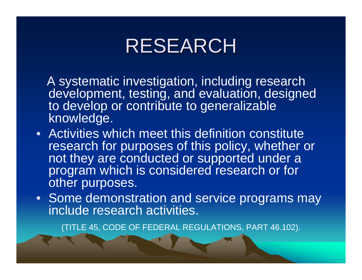#### RESEARCH

A systematic investigation, including research development, testing, and evaluation, designed to develop or contribute to generalizable knowledge.

- Activities which meet this definition constitute research for purposes of this policy, whether or not they are conducted or supported under a program which is considered research or for other purposes.
- Some demonstration and service programs may include research activities.

(TITLE 45, CODE OF FEDERAL REGULATIONS, PART 46.102).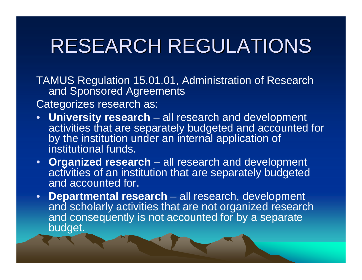# **RESEARCH REGULATIONS**

TAMUS Regulation 15.01.01, Administration of Research and Sponsored Agreements

Categorizes research as:

- • **University research** – all research and development activities that are separately budgeted and accounted for by the institution under an internal application of institutional funds.
- **Organized research** all research and development activities of an institution that are separately budgeted and accounted for.
- $\bullet$  **Departmental research** – all research, development and scholarly activities that are not organized research and consequently is not accounted for by a separate budget.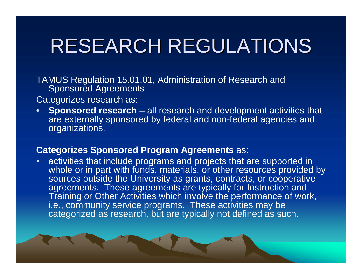# **RESEARCH REGULATIONS**

TAMUS Regulation 15.01.01, Administration of Research and Sponsored Agreements

Categorizes research as:

• **Sponsored research** – all research and development activities that are externally sponsored by federal and non-federal agencies and organizations.

#### **Categorizes Sponsored Program Agreements** as:

• activities that include programs and projects that are supported in whole or in part with funds, materials, or other resources provided by sources outside the University as grants, contracts, or cooperative agreements. These agreements are typically for Instruction and Training or Other Activities which involve the performance of work, i.e., community service programs. These activities may be categorized as research, but are typically not defined as such.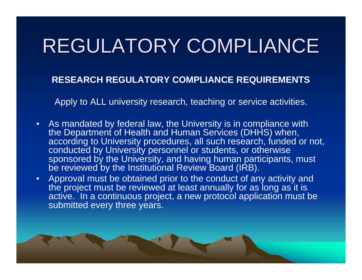**RESEARCH REGULATORY COMPLIANCE REQUIREMENTS**

Apply to ALL university research, teaching or service activities.

- • As mandated by federal law, the University is in compliance with the Department of Health and Human Services (DHHS) when, according to University procedures, all such research, funded or not, conducted by University personnel or students, or otherwise sponsored by the University, and having human participants, must be reviewed by the Institutional Review Board (IRB).
- • Approval must be obtained prior to the conduct of any activity and the project must be reviewed at least annually for as long as it is active. In a continuous project, a new protocol application must be submitted every three years.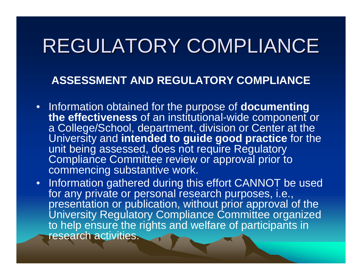#### **ASSESSMENT AND REGULATORY COMPLIANCE**

- Information obtained for the purpose of **documenting the effectiveness** of an institutional-wide component or a College/School, department, division or Center at the University and **intended to guide good practice** for the unit being assessed, does not require Regulatory Compliance Committee review or approval prior to commencing substantive work.
- Information gathered during this effort CANNOT be used for any private or personal research purposes, i.e., presentation or publication, without prior approval of the University Regulatory Compliance Committee organized to help ensure the rights and welfare of participants in research activities.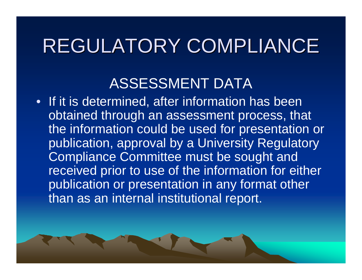#### ASSESSMENT DATA

• If it is determined, after information has been obtained through an assessment process, that the information could be used for presentation or publication, approval by a University Regulatory Compliance Committee must be sought and received prior to use of the information for either publication or presentation in any format other than as an internal institutional report.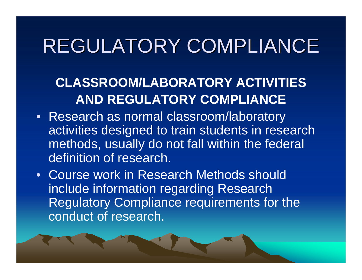#### **CLASSROOM/LABORATORY ACTIVITIES AND REGULATORY COMPLIANCE**

- Research as normal classroom/laboratory activities designed to train students in research methods, usually do not fall within the federal definition of research.
- Course work in Research Methods should include information regarding Research Regulatory Compliance requirements for the conduct of research.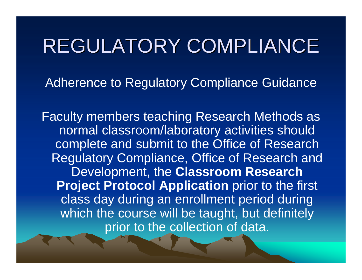Adherence to Regulatory Compliance Guidance

Faculty members teaching Research Methods as normal classroom/laboratory activities should complete and submit to the Office of Research Regulatory Compliance, Office of Research and Development, the **Classroom Research Project Protocol Application** prior to the first class day during an enrollment period during which the course will be taught, but definitely prior to the collection of data.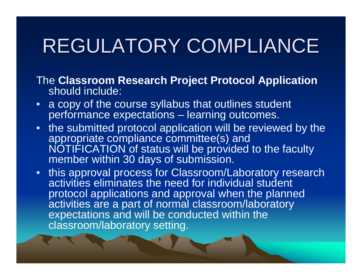The **Classroom Research Project Protocol Application** should include:

- a copy of the course syllabus that outlines student performance expectations – learning outcomes.
- $\bullet$  the submitted protocol application will be reviewed by the appropriate compliance committee(s) and NOTIFICATION of status will be provided to the faculty member within 30 days of submission.
- $\bullet$  this approval process for Classroom/Laboratory research activities eliminates the need for individual student protocol applications and approval when the planned activities are a part of normal classroom/laboratory expectations and will be conducted within the classroom/laboratory setting.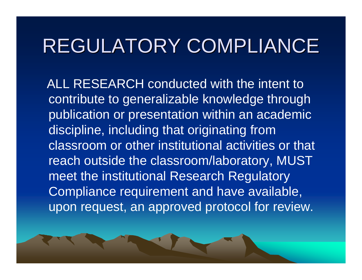## REGULATORY COMPLIANCE

ALL RESEARCH conducted with the intent to contribute to generalizable knowledge through publication or presentation within an academic discipline, including that originating from classroom or other institutional activities or that reach outside the classroom/laboratory, MUST meet the institutional Research Regulatory Compliance requirement and have available, upon request, an approved protocol for review.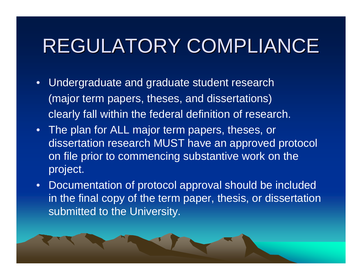# REGULATORY COMPLIANCE

- • Undergraduate and graduate student research (major term papers, theses, and dissertations) clearly fall within the federal definition of research.
- • The plan for ALL major term papers, theses, or dissertation research MUST have an approved protocol on file prior to commencing substantive work on the project.
- • Documentation of protocol approval should be included in the final copy of the term paper, thesis, or dissertation submitted to the University.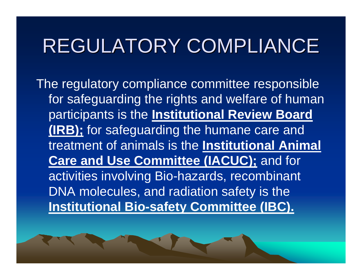The regulatory compliance committee responsible for safeguarding the rights and welfare of human participants is the **Institutional Review Board (IRB);** for safeguarding the humane care and treatment of animals is the **Institutional Animal Care and Use Committee (IACUC);** and for activities involving Bio-hazards, recombinant DNA molecules, and radiation safety is the **Institutional Bio-safety Committee (IBC).**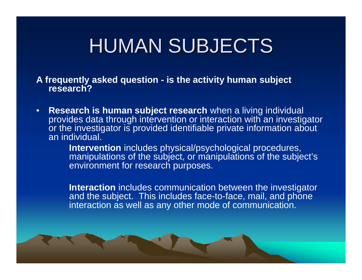### HUMAN SUBJECTS

**A frequently asked question - is the activity human subject research?**

• **Research is human subject research** when a living individual provides data through intervention or interaction with an investigator or the investigator is provided identifiable private information about an individual.

> **Intervention** includes physical/psychological procedures, manipulations of the subject, or manipulations of the subject's environment for research purposes.

> **Interaction** includes communication between the investigator and the subject. This includes face-to-face, mail, and phone interaction as well as any other mode of communication.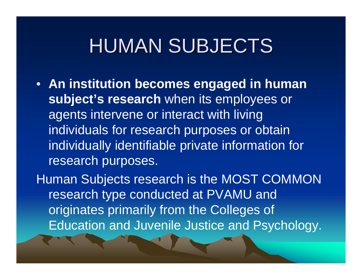### **HUMAN SUBJECTS**

• **An institution becomes engaged in human subject's research** when its employees or agents intervene or interact with living individuals for research purposes or obtain individually identifiable private information for research purposes.

Human Subjects research is the MOST COMMON research type conducted at PVAMU and originates primarily from the Colleges of Education and Juvenile Justice and Psychology.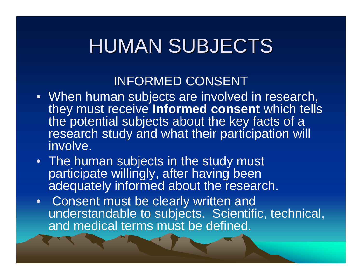# **HUMAN SUBJECTS**

#### INFORMED CONSENT

- When human subjects are involved in research, they must receive **Informed consent** which tells the potential subjects about the key facts of a research study and what their participation will involve.
- The human subjects in the study must participate willingly, after having been adequately informed about the research.
- Consent must be clearly written and understandable to subjects. Scientific, technical, and medical terms must be defined.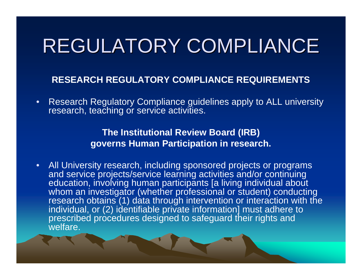**RESEARCH REGULATORY COMPLIANCE REQUIREMENTS**

• Research Regulatory Compliance guidelines apply to ALL university research, teaching or service activities.

#### **The Institutional Review Board (IRB) governs Human Participation in research.**

• All University research, including sponsored projects or programs and service projects/service learning activities and/or continuing education, involving human participants [a living individual about whom an investigator (whether professional or student) conducting research obtains (1) data through intervention or interaction with the individual, or (2) identifiable private information] must adhere to prescribed procedures designed to safeguard their rights and welfare.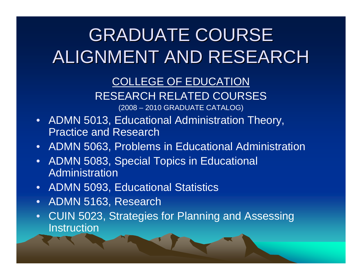#### COLLEGE OF EDUCATION RESEARCH RELATED COURSES

(2008 – 2010 GRADUATE CATALOG)

- ADMN 5013, Educational Administration Theory, Practice and Research
- ADMN 5063, Problems in Educational Administration
- $\bullet$  ADMN 5083, Special Topics in Educational Administration
- ADMN 5093, Educational Statistics
- •ADMN 5163, Research
- • CUIN 5023, Strategies for Planning and Assessing **Instruction**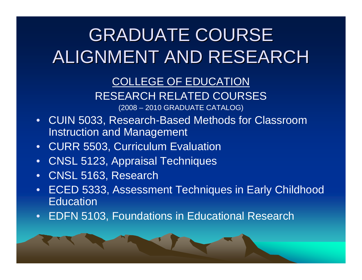#### COLLEGE OF EDUCATION RESEARCH RELATED COURSES

(2008 – 2010 GRADUATE CATALOG)

- CUIN 5033, Research-Based Methods for Classroom Instruction and Management
- •CURR 5503, Curriculum Evaluation
- •CNSL 5123, Appraisal Techniques
- •CNSL 5163, Research
- $\bullet$  ECED 5333, Assessment Techniques in Early Childhood **Education**
- •EDFN 5103, Foundations in Educational Research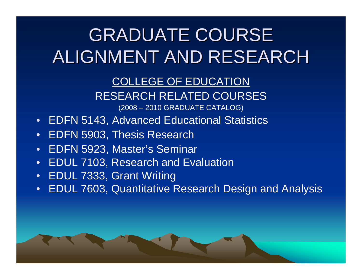#### COLLEGE OF EDUCATION RESEARCH RELATED COURSES

(2008 – 2010 GRADUATE CATALOG)

- •EDFN 5143, Advanced Educational Statistics
- •EDFN 5903, Thesis Research
- •EDFN 5923, Master's Seminar
- •EDUL 7103, Research and Evaluation
- •EDUL 7333, Grant Writing
- •EDUL 7603, Quantitative Research Design and Analysis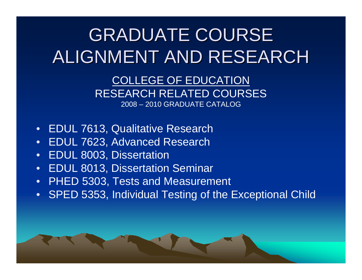COLLEGE OF EDUCATION RESEARCH RELATED COURSES 2008 – 2010 GRADUATE CATALOG

- •EDUL 7613, Qualitative Research
- •EDUL 7623, Advanced Research
- •EDUL 8003, Dissertation
- •EDUL 8013, Dissertation Seminar
- •PHED 5303, Tests and Measurement
- •SPED 5353, Individual Testing of the Exceptional Child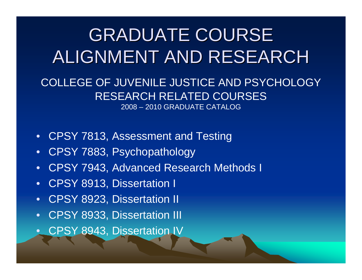- CPSY 7813, Assessment and Testing
- $\bullet$ CPSY 7883, Psychopathology
- •CPSY 7943, Advanced Research Methods I
- •CPSY 8913, Dissertation I
- •CPSY 8923, Dissertation II
- •CPSY 8933, Dissertation III
- $\bullet$ CPSY 8943, Dissertation IV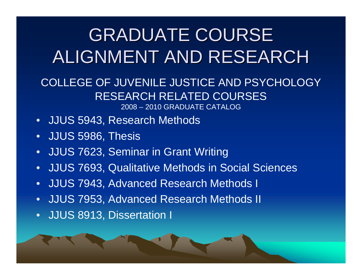- JJUS 5943, Research Methods
- •JJUS 5986, Thesis
- •JJUS 7623, Seminar in Grant Writing
- $\bullet$ JJUS 7693, Qualitative Methods in Social Sciences
- •JJUS 7943, Advanced Research Methods I
- •JJUS 7953, Advanced Research Methods II
- $\bullet$ JJUS 8913, Dissertation I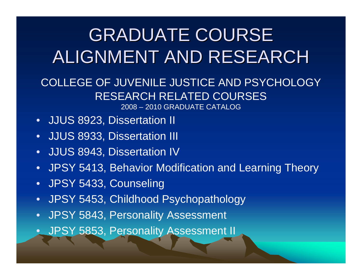- JJUS 8923, Dissertation II
- $\bullet$ JJUS 8933, Dissertation III
- •JJUS 8943, Dissertation IV
- JPSY 5413, Behavior Modification and Learning Theory
- •JPSY 5433, Counseling
- •JPSY 5453, Childhood Psychopathology
- •JPSY 5843, Personality Assessment
- $\bullet$ JPSY 5853, Personality Assessment II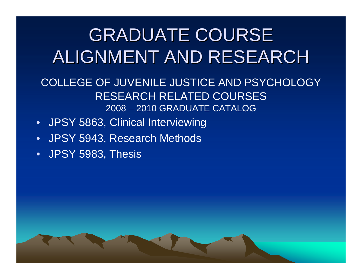- JPSY 5863, Clinical Interviewing
- •JPSY 5943, Research Methods
- $\bullet$ JPSY 5983, Thesis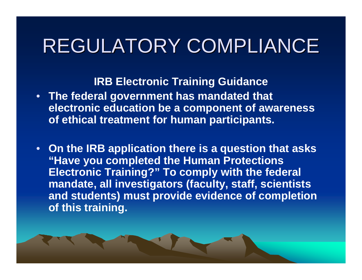**IRB Electronic Training Guidance** 

- • **The federal government has mandated that electronic education be a component of awareness of ethical treatment for human participants.**
- • **On the IRB application there is a question that asks "Have you completed the Human Protections Electronic Training?" To comply with the federal mandate, all investigators (faculty, staff, scientists and students) must provide evidence of completion of this training.**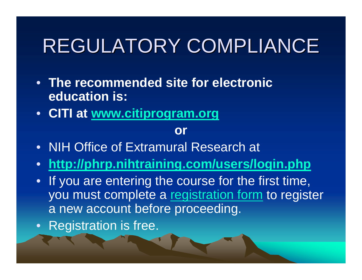- **The recommended site for electronic education is:**
- **CITI at [www.citiprogram.org](http://www.citiprogram.org/)**

**or** 

- NIH Office of Extramural Research at
- $\bullet$ **http://phrp.nihtraining.com/users/login.php**
- If you are entering the course for the first time, you must complete a [registration form](http://phrp.nihtraining.com/users/register.php) to register a new account before proceeding.
- Registration is free.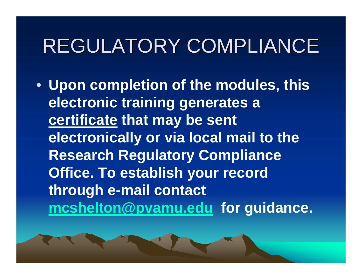# REGULATORY COMPLIANCE

• **Upon completion of the modules, this electronic training generates a certificate that may be sent electronically or via local mail to the Research Regulatory Compliance Office. To establish your record through e-mail contact [mcshelton@pvamu.edu](mailto:mcshelton@pvamu.edu) for guidance.**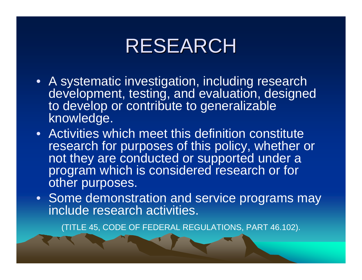#### RESEARCH

- A systematic investigation, including research development, testing, and evaluation, designed to develop or contribute to generalizable knowledge.
- Activities which meet this definition constitute research for purposes of this policy, whether or not they are conducted or supported under a program which is considered research or for other purposes.
- Some demonstration and service programs may include research activities.

(TITLE 45, CODE OF FEDERAL REGULATIONS, PART 46.102).